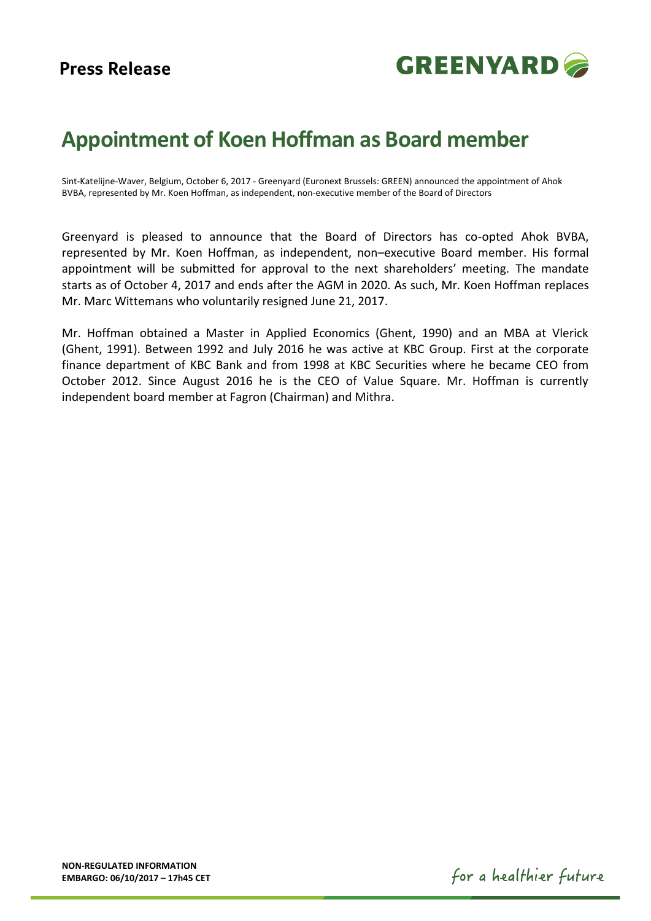

## **Appointment of Koen Hoffman as Board member**

Sint-Katelijne-Waver, Belgium, October 6, 2017 - Greenyard (Euronext Brussels: GREEN) announced the appointment of Ahok BVBA, represented by Mr. Koen Hoffman, as independent, non-executive member of the Board of Directors

Greenyard is pleased to announce that the Board of Directors has co-opted Ahok BVBA, represented by Mr. Koen Hoffman, as independent, non–executive Board member. His formal appointment will be submitted for approval to the next shareholders' meeting. The mandate starts as of October 4, 2017 and ends after the AGM in 2020. As such, Mr. Koen Hoffman replaces Mr. Marc Wittemans who voluntarily resigned June 21, 2017.

Mr. Hoffman obtained a Master in Applied Economics (Ghent, 1990) and an MBA at Vlerick (Ghent, 1991). Between 1992 and July 2016 he was active at KBC Group. First at the corporate finance department of KBC Bank and from 1998 at KBC Securities where he became CEO from October 2012. Since August 2016 he is the CEO of Value Square. Mr. Hoffman is currently independent board member at Fagron (Chairman) and Mithra.

for a healthier future